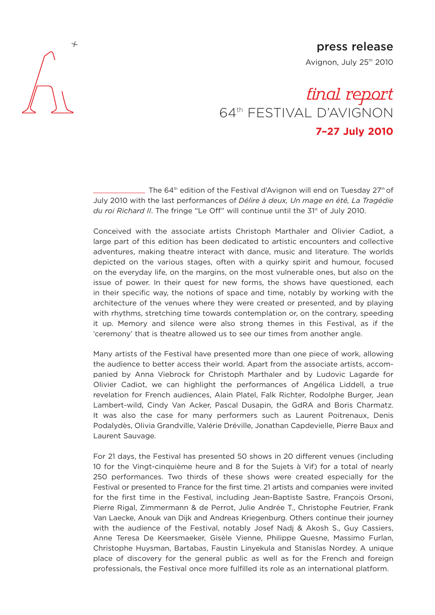

## **press release**

Avignon, July 25<sup>th</sup> 2010

## final report 64th FESTIVAL D'AVIGNON **7–27 July 2010**

 $\overline{a}$  The 64<sup>th</sup> edition of the Festival d'Avignon will end on Tuesday 27<sup>th</sup> of July 2010 with the last performances of *Délire à deux, Un mage en été, La Tragédie* du roi Richard II. The fringe "Le Off" will continue until the 31<sup>st</sup> of July 2010.

Conceived with the associate artists Christoph Marthaler and Olivier Cadiot, a large part of this edition has been dedicated to artistic encounters and collective adventures, making theatre interact with dance, music and literature. The worlds depicted on the various stages, often with a quirky spirit and humour, focused on the everyday life, on the margins, on the most vulnerable ones, but also on the issue of power. In their quest for new forms, the shows have questioned, each in their specific way, the notions of space and time, notably by working with the architecture of the venues where they were created or presented, and by playing with rhythms, stretching time towards contemplation or, on the contrary, speeding it up. Memory and silence were also strong themes in this Festival, as if the 'ceremony' that is theatre allowed us to see our times from another angle.

Many artists of the Festival have presented more than one piece of work, allowing the audience to better access their world. Apart from the associate artists, accompanied by Anna Viebrock for Christoph Marthaler and by Ludovic Lagarde for Olivier Cadiot, we can highlight the performances of Angélica Liddell, a true revelation for French audiences, Alain Platel, Falk Richter, Rodolphe Burger, Jean Lambert-wild, Cindy Van Acker, Pascal Dusapin, the GdRA and Boris Charmatz. It was also the case for many performers such as Laurent Poitrenaux, Denis Podalydès, Olivia Grandville, Valérie Dréville, Jonathan Capdevielle, Pierre Baux and Laurent Sauvage.

For 21 days, the Festival has presented 50 shows in 20 different venues (including 10 for the Vingt-cinquième heure and 8 for the Sujets à Vif) for a total of nearly 250 performances. Two thirds of these shows were created especially for the Festival or presented to France for the first time. 21 artists and companies were invited for the first time in the Festival, including Jean-Baptiste Sastre, François Orsoni, Pierre Rigal, Zimmermann & de Perrot, Julie Andrée T., Christophe Feutrier, Frank Van Laecke, Anouk van Dijk and Andreas Kriegenburg. Others continue their journey with the audience of the Festival, notably Josef Nadj & Akosh S., Guy Cassiers, Anne Teresa De Keersmaeker, Gisèle Vienne, Philippe Quesne, Massimo Furlan, Christophe Huysman, Bartabas, Faustin Linyekula and Stanislas Nordey. A unique place of discovery for the general public as well as for the French and foreign professionals, the Festival once more fulfilled its role as an international platform.